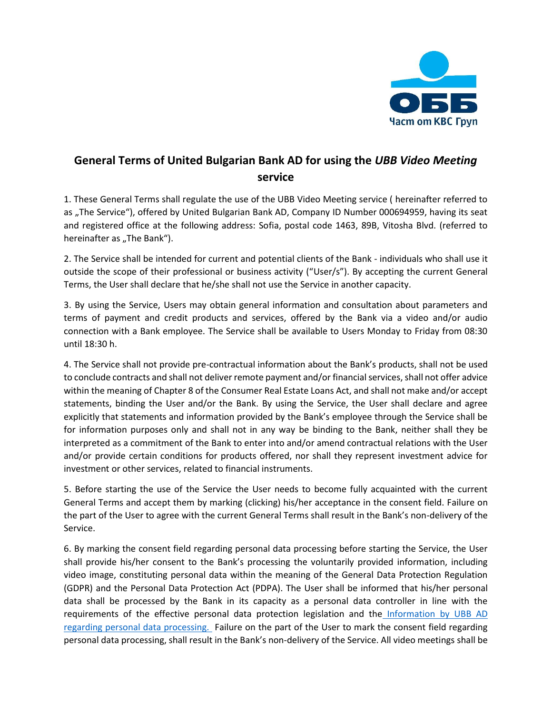

## **General Terms of United Bulgarian Bank AD for using the** *UBB Video Meeting* **service**

1. These General Terms shall regulate the use of the UBB Video Meeting service ( hereinafter referred to as "The Service"), offered by United Bulgarian Bank AD, Company ID Number 000694959, having its seat and registered office at the following address: Sofia, postal code 1463, 89B, Vitosha Blvd. (referred to hereinafter as "The Bank").

2. The Service shall be intended for current and potential clients of the Bank - individuals who shall use it outside the scope of their professional or business activity ("User/s"). By accepting the current General Terms, the User shall declare that he/she shall not use the Service in another capacity.

3. By using the Service, Users may obtain general information and consultation about parameters and terms of payment and credit products and services, offered by the Bank via a video and/or audio connection with a Bank employee. The Service shall be available to Users Monday to Friday from 08:30 until 18:30 h.

4. The Service shall not provide pre-contractual information about the Bank's products, shall not be used to conclude contracts and shall not deliver remote payment and/or financial services, shall not offer advice within the meaning of Chapter 8 of the Consumer Real Estate Loans Act, and shall not make and/or accept statements, binding the User and/or the Bank. By using the Service, the User shall declare and agree explicitly that statements and information provided by the Bank's employee through the Service shall be for information purposes only and shall not in any way be binding to the Bank, neither shall they be interpreted as a commitment of the Bank to enter into and/or amend contractual relations with the User and/or provide certain conditions for products offered, nor shall they represent investment advice for investment or other services, related to financial instruments.

5. Before starting the use of the Service the User needs to become fully acquainted with the current General Terms and accept them by marking (clicking) his/her acceptance in the consent field. Failure on the part of the User to agree with the current General Terms shall result in the Bank's non-delivery of the Service.

6. By marking the consent field regarding personal data processing before starting the Service, the User shall provide his/her consent to the Bank's processing the voluntarily provided information, including video image, constituting personal data within the meaning of the General Data Protection Regulation (GDPR) and the Personal Data Protection Act (PDPA). The User shall be informed that his/her personal data shall be processed by the Bank in its capacity as a personal data controller in line with the requirements of the effective personal data protection legislation and the Information by UBB AD [regarding personal data processing.](https://www.ubb.bg/about/pdp) Failure on the part of the User to mark the consent field regarding personal data processing, shall result in the Bank's non-delivery of the Service. All video meetings shall be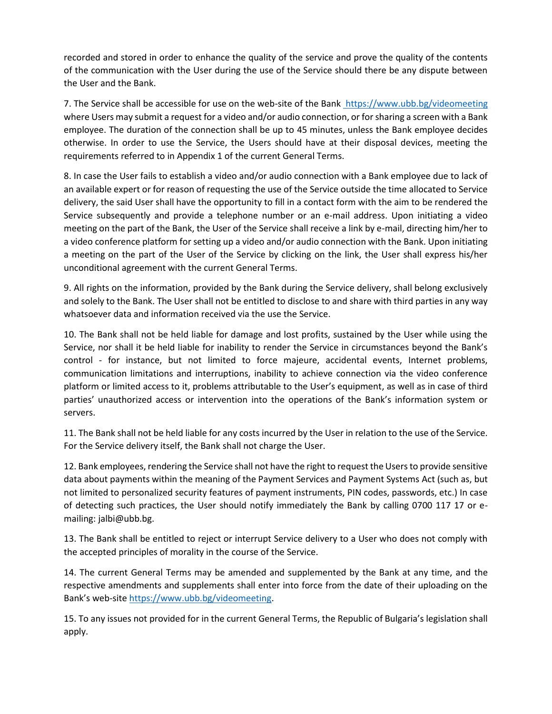recorded and stored in order to enhance the quality of the service and prove the quality of the contents of the communication with the User during the use of the Service should there be any dispute between the User and the Bank.

7. The Service shall be accessible for use on the web-site of the Ban[k https://www.ubb.bg/videomeeting](https://www.ubb.bg/videomeeting) where Users may submit a request for a video and/or audio connection, or for sharing a screen with a Bank employee. The duration of the connection shall be up to 45 minutes, unless the Bank employee decides otherwise. In order to use the Service, the Users should have at their disposal devices, meeting the requirements referred to in Appendix 1 of the current General Terms.

8. In case the User fails to establish a video and/or audio connection with a Bank employee due to lack of an available expert or for reason of requesting the use of the Service outside the time allocated to Service delivery, the said User shall have the opportunity to fill in a contact form with the aim to be rendered the Service subsequently and provide a telephone number or an e-mail address. Upon initiating a video meeting on the part of the Bank, the User of the Service shall receive a link by e-mail, directing him/her to a video conference platform for setting up a video and/or audio connection with the Bank. Upon initiating a meeting on the part of the User of the Service by clicking on the link, the User shall express his/her unconditional agreement with the current General Terms.

9. All rights on the information, provided by the Bank during the Service delivery, shall belong exclusively and solely to the Bank. The User shall not be entitled to disclose to and share with third parties in any way whatsoever data and information received via the use the Service.

10. The Bank shall not be held liable for damage and lost profits, sustained by the User while using the Service, nor shall it be held liable for inability to render the Service in circumstances beyond the Bank's control - for instance, but not limited to force majeure, accidental events, Internet problems, communication limitations and interruptions, inability to achieve connection via the video conference platform or limited access to it, problems attributable to the User's equipment, as well as in case of third parties' unauthorized access or intervention into the operations of the Bank's information system or servers.

11. The Bank shall not be held liable for any costs incurred by the User in relation to the use of the Service. For the Service delivery itself, the Bank shall not charge the User.

12. Bank employees, rendering the Service shall not have the right to request the Users to provide sensitive data about payments within the meaning of the Payment Services and Payment Systems Act (such as, but not limited to personalized security features of payment instruments, PIN codes, passwords, etc.) In case of detecting such practices, the User should notify immediately the Bank by calling 0700 117 17 or emailing: jalbi@ubb.bg.

13. The Bank shall be entitled to reject or interrupt Service delivery to a User who does not comply with the accepted principles of morality in the course of the Service.

14. The current General Terms may be amended and supplemented by the Bank at any time, and the respective amendments and supplements shall enter into force from the date of their uploading on the Bank's web-site [https://www.ubb.bg/videomeeting.](https://www.ubb.bg/videomeeting)

15. To any issues not provided for in the current General Terms, the Republic of Bulgaria's legislation shall apply.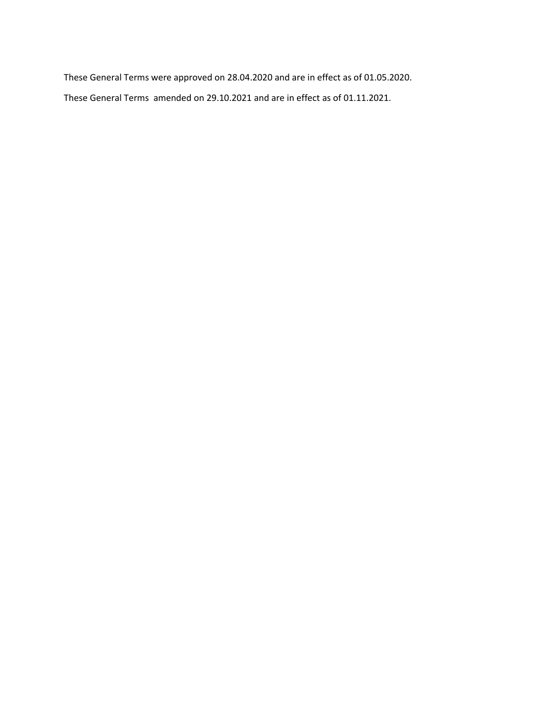These General Terms were approved on 28.04.2020 and are in effect as of 01.05.2020. These General Terms amended on 29.10.2021 and are in effect as of 01.11.2021.